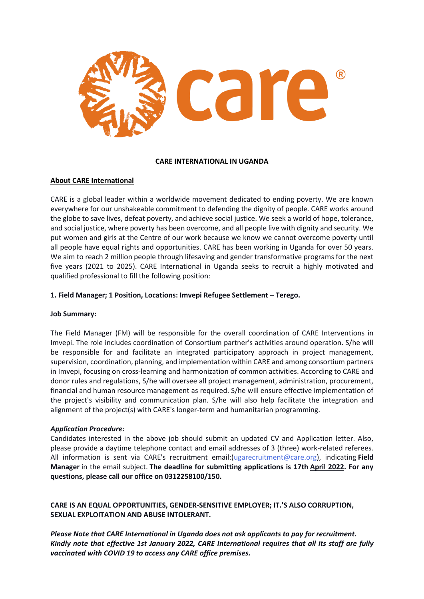

#### **CARE INTERNATIONAL IN UGANDA**

### **About CARE International**

CARE is a global leader within a worldwide movement dedicated to ending poverty. We are known everywhere for our unshakeable commitment to defending the dignity of people. CARE works around the globe to save lives, defeat poverty, and achieve social justice. We seek a world of hope, tolerance, and social justice, where poverty has been overcome, and all people live with dignity and security. We put women and girls at the Centre of our work because we know we cannot overcome poverty until all people have equal rights and opportunities. CARE has been working in Uganda for over 50 years. We aim to reach 2 million people through lifesaving and gender transformative programs for the next five years (2021 to 2025). CARE International in Uganda seeks to recruit a highly motivated and qualified professional to fill the following position:

### **1. Field Manager; 1 Position, Locations: Imvepi Refugee Settlement – Terego.**

#### **Job Summary:**

The Field Manager (FM) will be responsible for the overall coordination of CARE Interventions in Imvepi. The role includes coordination of Consortium partner's activities around operation. S/he will be responsible for and facilitate an integrated participatory approach in project management, supervision, coordination, planning, and implementation within CARE and among consortium partners in Imvepi, focusing on cross-learning and harmonization of common activities. According to CARE and donor rules and regulations, S/he will oversee all project management, administration, procurement, financial and human resource management as required. S/he will ensure effective implementation of the project's visibility and communication plan. S/he will also help facilitate the integration and alignment of the project(s) with CARE's longer-term and humanitarian programming.

### *Application Procedure:*

Candidates interested in the above job should submit an updated CV and Application letter. Also, please provide a daytime telephone contact and email addresses of 3 (three) work-related referees. All information is sent via CARE's recruitment email:[\(ugarecruitment@care.org\)](mailto:ugarecruitment@care.org), indicating **Field Manager** in the email subject. **The deadline for submitting applications is 17th April 2022. For any questions, please call our office on 0312258100/150.**

**CARE IS AN EQUAL OPPORTUNITIES, GENDER-SENSITIVE EMPLOYER; IT.'S ALSO CORRUPTION, SEXUAL EXPLOITATION AND ABUSE INTOLERANT.**

*Please Note that CARE International in Uganda does not ask applicants to pay for recruitment. Kindly note that effective 1st January 2022, CARE International requires that all its staff are fully vaccinated with COVID 19 to access any CARE office premises.*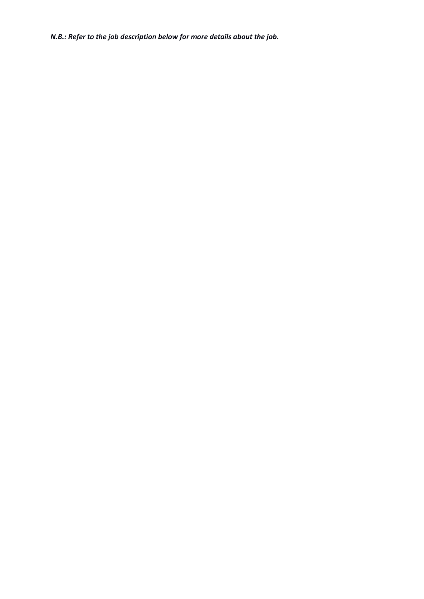*N.B.: Refer to the job description below for more details about the job.*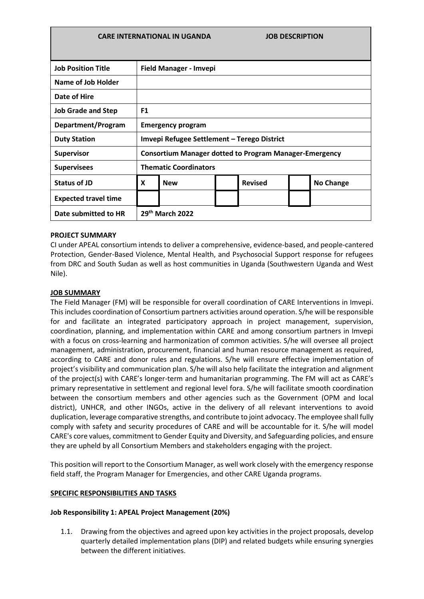| <b>CARE INTERNATIONAL IN UGANDA</b> |                                                               |            |  | <b>JOB DESCRIPTION</b> |  |                  |  |
|-------------------------------------|---------------------------------------------------------------|------------|--|------------------------|--|------------------|--|
|                                     |                                                               |            |  |                        |  |                  |  |
| <b>Job Position Title</b>           | Field Manager - Imvepi                                        |            |  |                        |  |                  |  |
| Name of Job Holder                  |                                                               |            |  |                        |  |                  |  |
| Date of Hire                        |                                                               |            |  |                        |  |                  |  |
| <b>Job Grade and Step</b>           | F <sub>1</sub>                                                |            |  |                        |  |                  |  |
| Department/Program                  | <b>Emergency program</b>                                      |            |  |                        |  |                  |  |
| <b>Duty Station</b>                 | Imvepi Refugee Settlement - Terego District                   |            |  |                        |  |                  |  |
| <b>Supervisor</b>                   | <b>Consortium Manager dotted to Program Manager-Emergency</b> |            |  |                        |  |                  |  |
| <b>Supervisees</b>                  | <b>Thematic Coordinators</b>                                  |            |  |                        |  |                  |  |
| <b>Status of JD</b>                 | X                                                             | <b>New</b> |  | <b>Revised</b>         |  | <b>No Change</b> |  |
| <b>Expected travel time</b>         |                                                               |            |  |                        |  |                  |  |
| Date submitted to HR                | 29th March 2022                                               |            |  |                        |  |                  |  |

### **PROJECT SUMMARY**

CI under APEAL consortium intends to deliver a comprehensive, evidence-based, and people-cantered Protection, Gender-Based Violence, Mental Health, and Psychosocial Support response for refugees from DRC and South Sudan as well as host communities in Uganda (Southwestern Uganda and West Nile).

## **JOB SUMMARY**

The Field Manager (FM) will be responsible for overall coordination of CARE Interventions in Imvepi. This includes coordination of Consortium partners activities around operation. S/he will be responsible for and facilitate an integrated participatory approach in project management, supervision, coordination, planning, and implementation within CARE and among consortium partners in Imvepi with a focus on cross-learning and harmonization of common activities. S/he will oversee all project management, administration, procurement, financial and human resource management as required, according to CARE and donor rules and regulations. S/he will ensure effective implementation of project's visibility and communication plan. S/he will also help facilitate the integration and alignment of the project(s) with CARE's longer-term and humanitarian programming. The FM will act as CARE's primary representative in settlement and regional level fora. S/he will facilitate smooth coordination between the consortium members and other agencies such as the Government (OPM and local district), UNHCR, and other INGOs, active in the delivery of all relevant interventions to avoid duplication, leverage comparative strengths, and contribute to joint advocacy. The employee shall fully comply with safety and security procedures of CARE and will be accountable for it. S/he will model CARE's core values, commitment to Gender Equity and Diversity, and Safeguarding policies, and ensure they are upheld by all Consortium Members and stakeholders engaging with the project.

This position will report to the Consortium Manager, as well work closely with the emergency response field staff, the Program Manager for Emergencies, and other CARE Uganda programs.

### **SPECIFIC RESPONSIBILITIES AND TASKS**

### **Job Responsibility 1: APEAL Project Management (20%)**

1.1. Drawing from the objectives and agreed upon key activities in the project proposals, develop quarterly detailed implementation plans (DIP) and related budgets while ensuring synergies between the different initiatives.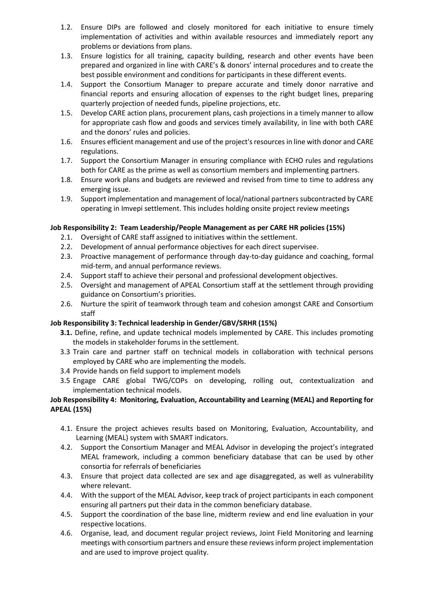- 1.2. Ensure DIPs are followed and closely monitored for each initiative to ensure timely implementation of activities and within available resources and immediately report any problems or deviations from plans.
- 1.3. Ensure logistics for all training, capacity building, research and other events have been prepared and organized in line with CARE's & donors' internal procedures and to create the best possible environment and conditions for participants in these different events.
- 1.4. Support the Consortium Manager to prepare accurate and timely donor narrative and financial reports and ensuring allocation of expenses to the right budget lines, preparing quarterly projection of needed funds, pipeline projections, etc.
- 1.5. Develop CARE action plans, procurement plans, cash projections in a timely manner to allow for appropriate cash flow and goods and services timely availability, in line with both CARE and the donors' rules and policies.
- 1.6. Ensures efficient management and use of the project's resources in line with donor and CARE regulations.
- 1.7. Support the Consortium Manager in ensuring compliance with ECHO rules and regulations both for CARE as the prime as well as consortium members and implementing partners.
- 1.8. Ensure work plans and budgets are reviewed and revised from time to time to address any emerging issue.
- 1.9. Support implementation and management of local/national partners subcontracted by CARE operating in Imvepi settlement. This includes holding onsite project review meetings

# **Job Responsibility 2: Team Leadership/People Management as per CARE HR policies (15%)**

- 2.1. Oversight of CARE staff assigned to initiatives within the settlement.
- 2.2. Development of annual performance objectives for each direct supervisee.
- 2.3. Proactive management of performance through day-to-day guidance and coaching, formal mid-term, and annual performance reviews.
- 2.4. Support staff to achieve their personal and professional development objectives.
- 2.5. Oversight and management of APEAL Consortium staff at the settlement through providing guidance on Consortium's priorities.
- 2.6. Nurture the spirit of teamwork through team and cohesion amongst CARE and Consortium staff

# **Job Responsibility 3: Technical leadership in Gender/GBV/SRHR (15%)**

- **3.1.** Define, refine, and update technical models implemented by CARE. This includes promoting the models in stakeholder forums in the settlement.
- 3.3 Train care and partner staff on technical models in collaboration with technical persons employed by CARE who are implementing the models.
- 3.4 Provide hands on field support to implement models
- 3.5 Engage CARE global TWG/COPs on developing, rolling out, contextualization and implementation technical models.

# **Job Responsibility 4: Monitoring, Evaluation, Accountability and Learning (MEAL) and Reporting for APEAL (15%)**

- 4.1. Ensure the project achieves results based on Monitoring, Evaluation, Accountability, and Learning (MEAL) system with SMART indicators.
- 4.2. Support the Consortium Manager and MEAL Advisor in developing the project's integrated MEAL framework, including a common beneficiary database that can be used by other consortia for referrals of beneficiaries
- 4.3. Ensure that project data collected are sex and age disaggregated, as well as vulnerability where relevant.
- 4.4. With the support of the MEAL Advisor, keep track of project participants in each component ensuring all partners put their data in the common beneficiary database.
- 4.5. Support the coordination of the base line, midterm review and end line evaluation in your respective locations.
- 4.6. Organise, lead, and document regular project reviews, Joint Field Monitoring and learning meetings with consortium partners and ensure these reviews inform project implementation and are used to improve project quality.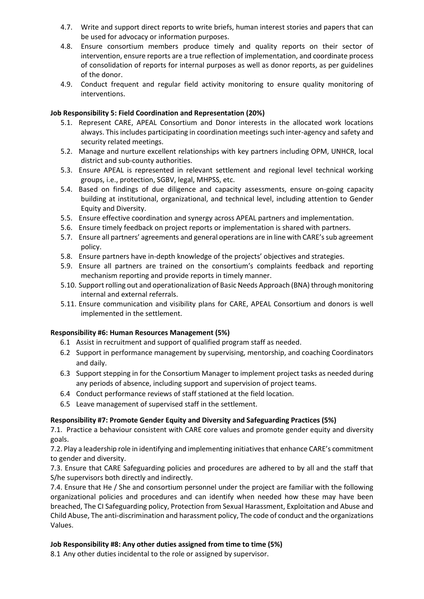- 4.7. Write and support direct reports to write briefs, human interest stories and papers that can be used for advocacy or information purposes.
- 4.8. Ensure consortium members produce timely and quality reports on their sector of intervention, ensure reports are a true reflection of implementation, and coordinate process of consolidation of reports for internal purposes as well as donor reports, as per guidelines of the donor.
- 4.9. Conduct frequent and regular field activity monitoring to ensure quality monitoring of interventions.

## **Job Responsibility 5: Field Coordination and Representation (20%)**

- 5.1. Represent CARE, APEAL Consortium and Donor interests in the allocated work locations always. This includes participating in coordination meetings such inter-agency and safety and security related meetings.
- 5.2. Manage and nurture excellent relationships with key partners including OPM, UNHCR, local district and sub-county authorities.
- 5.3. Ensure APEAL is represented in relevant settlement and regional level technical working groups, i.e., protection, SGBV, legal, MHPSS, etc.
- 5.4. Based on findings of due diligence and capacity assessments, ensure on-going capacity building at institutional, organizational, and technical level, including attention to Gender Equity and Diversity.
- 5.5. Ensure effective coordination and synergy across APEAL partners and implementation.
- 5.6. Ensure timely feedback on project reports or implementation is shared with partners.
- 5.7. Ensure all partners' agreements and general operations are in line with CARE's sub agreement policy.
- 5.8. Ensure partners have in-depth knowledge of the projects' objectives and strategies.
- 5.9. Ensure all partners are trained on the consortium's complaints feedback and reporting mechanism reporting and provide reports in timely manner.
- 5.10. Support rolling out and operationalization of Basic Needs Approach (BNA) through monitoring internal and external referrals.
- 5.11. Ensure communication and visibility plans for CARE, APEAL Consortium and donors is well implemented in the settlement.

### **Responsibility #6: Human Resources Management (5%)**

- 6.1 Assist in recruitment and support of qualified program staff as needed.
- 6.2 Support in performance management by supervising, mentorship, and coaching Coordinators and daily.
- 6.3 Support stepping in for the Consortium Manager to implement project tasks as needed during any periods of absence, including support and supervision of project teams.
- 6.4 Conduct performance reviews of staff stationed at the field location.
- 6.5 Leave management of supervised staff in the settlement.

### **Responsibility #7: Promote Gender Equity and Diversity and Safeguarding Practices (5%)**

7.1. Practice a behaviour consistent with CARE core values and promote gender equity and diversity goals.

7.2. Play a leadership role in identifying and implementing initiatives that enhance CARE's commitment to gender and diversity.

7.3. Ensure that CARE Safeguarding policies and procedures are adhered to by all and the staff that S/he supervisors both directly and indirectly.

7.4. Ensure that He / She and consortium personnel under the project are familiar with the following organizational policies and procedures and can identify when needed how these may have been breached, The CI Safeguarding policy, Protection from Sexual Harassment, Exploitation and Abuse and Child Abuse, The anti-discrimination and harassment policy, The code of conduct and the organizations Values.

### **Job Responsibility #8: Any other duties assigned from time to time (5%)**

8.1 Any other duties incidental to the role or assigned by supervisor.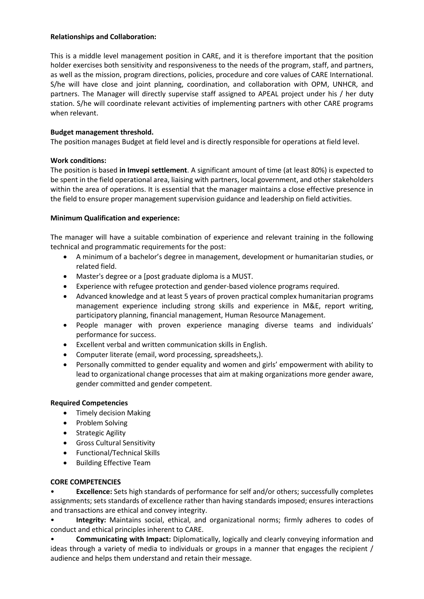### **Relationships and Collaboration:**

This is a middle level management position in CARE, and it is therefore important that the position holder exercises both sensitivity and responsiveness to the needs of the program, staff, and partners, as well as the mission, program directions, policies, procedure and core values of CARE International. S/he will have close and joint planning, coordination, and collaboration with OPM, UNHCR, and partners. The Manager will directly supervise staff assigned to APEAL project under his / her duty station. S/he will coordinate relevant activities of implementing partners with other CARE programs when relevant.

# **Budget management threshold.**

The position manages Budget at field level and is directly responsible for operations at field level.

## **Work conditions:**

The position is based **in Imvepi settlement**. A significant amount of time (at least 80%) is expected to be spent in the field operational area, liaising with partners, local government, and other stakeholders within the area of operations. It is essential that the manager maintains a close effective presence in the field to ensure proper management supervision guidance and leadership on field activities.

## **Minimum Qualification and experience:**

The manager will have a suitable combination of experience and relevant training in the following technical and programmatic requirements for the post:

- A minimum of a bachelor's degree in management, development or humanitarian studies, or related field.
- Master's degree or a [post graduate diploma is a MUST.
- Experience with refugee protection and gender-based violence programs required.
- Advanced knowledge and at least 5 years of proven practical complex humanitarian programs management experience including strong skills and experience in M&E, report writing, participatory planning, financial management, Human Resource Management.
- People manager with proven experience managing diverse teams and individuals' performance for success.
- Excellent verbal and written communication skills in English.
- Computer literate (email, word processing, spreadsheets,).
- Personally committed to gender equality and women and girls' empowerment with ability to lead to organizational change processes that aim at making organizations more gender aware, gender committed and gender competent.

# **Required Competencies**

- Timely decision Making
- Problem Solving
- Strategic Agility
- Gross Cultural Sensitivity
- Functional/Technical Skills
- Building Effective Team

# **CORE COMPETENCIES**

• **Excellence:** Sets high standards of performance for self and/or others; successfully completes assignments; sets standards of excellence rather than having standards imposed; ensures interactions and transactions are ethical and convey integrity.

• **Integrity:** Maintains social, ethical, and organizational norms; firmly adheres to codes of conduct and ethical principles inherent to CARE.

• **Communicating with Impact:** Diplomatically, logically and clearly conveying information and ideas through a variety of media to individuals or groups in a manner that engages the recipient / audience and helps them understand and retain their message.